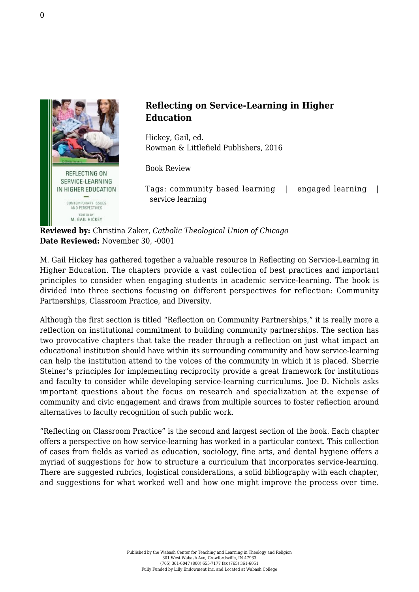

## **Reflecting on Service-Learning in Higher Education**

Hickey, Gail, ed. [Rowman & Littlefield Publishers, 2016](https://rowman.com/ISBN/9781498523714/Reflecting-on-Service-Learning-in-Higher-Education-Contemporary-Issues-and-Perspectives#)

Book Review

Tags: community based learning | engaged learning | service learning

**Reviewed by:** Christina Zaker, *Catholic Theological Union of Chicago* **Date Reviewed:** November 30, -0001

M. Gail Hickey has gathered together a valuable resource in Reflecting on Service-Learning in Higher Education. The chapters provide a vast collection of best practices and important principles to consider when engaging students in academic service-learning. The book is divided into three sections focusing on different perspectives for reflection: Community Partnerships, Classroom Practice, and Diversity.

Although the first section is titled "Reflection on Community Partnerships," it is really more a reflection on institutional commitment to building community partnerships. The section has two provocative chapters that take the reader through a reflection on just what impact an educational institution should have within its surrounding community and how service-learning can help the institution attend to the voices of the community in which it is placed. Sherrie Steiner's principles for implementing reciprocity provide a great framework for institutions and faculty to consider while developing service-learning curriculums. Joe D. Nichols asks important questions about the focus on research and specialization at the expense of community and civic engagement and draws from multiple sources to foster reflection around alternatives to faculty recognition of such public work.

"Reflecting on Classroom Practice" is the second and largest section of the book. Each chapter offers a perspective on how service-learning has worked in a particular context. This collection of cases from fields as varied as education, sociology, fine arts, and dental hygiene offers a myriad of suggestions for how to structure a curriculum that incorporates service-learning. There are suggested rubrics, logistical considerations, a solid bibliography with each chapter, and suggestions for what worked well and how one might improve the process over time.